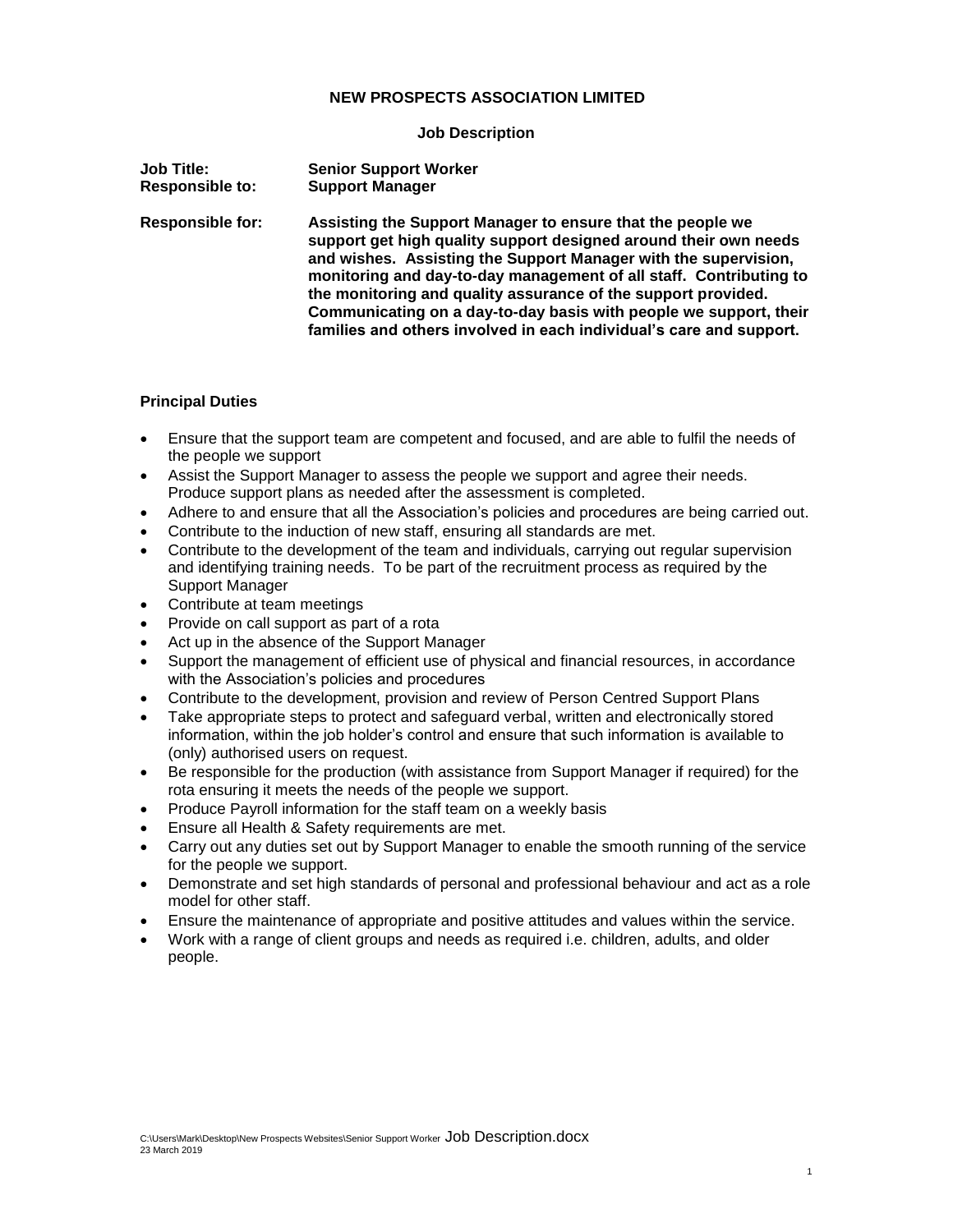### **NEW PROSPECTS ASSOCIATION LIMITED**

#### **Job Description**

| <b>Job Title:</b>       | <b>Senior Support Worker</b>                                                                                                                                                                                                                                                                                                                                                                                                                                                         |
|-------------------------|--------------------------------------------------------------------------------------------------------------------------------------------------------------------------------------------------------------------------------------------------------------------------------------------------------------------------------------------------------------------------------------------------------------------------------------------------------------------------------------|
| <b>Responsible to:</b>  | <b>Support Manager</b>                                                                                                                                                                                                                                                                                                                                                                                                                                                               |
| <b>Responsible for:</b> | Assisting the Support Manager to ensure that the people we<br>support get high quality support designed around their own needs<br>and wishes. Assisting the Support Manager with the supervision,<br>monitoring and day-to-day management of all staff. Contributing to<br>the monitoring and quality assurance of the support provided.<br>Communicating on a day-to-day basis with people we support, their<br>families and others involved in each individual's care and support. |

#### **Principal Duties**

- Ensure that the support team are competent and focused, and are able to fulfil the needs of the people we support
- Assist the Support Manager to assess the people we support and agree their needs. Produce support plans as needed after the assessment is completed.
- Adhere to and ensure that all the Association's policies and procedures are being carried out.
- Contribute to the induction of new staff, ensuring all standards are met.
- Contribute to the development of the team and individuals, carrying out regular supervision and identifying training needs. To be part of the recruitment process as required by the Support Manager
- Contribute at team meetings
- Provide on call support as part of a rota
- Act up in the absence of the Support Manager
- Support the management of efficient use of physical and financial resources, in accordance with the Association's policies and procedures
- Contribute to the development, provision and review of Person Centred Support Plans
- Take appropriate steps to protect and safeguard verbal, written and electronically stored information, within the job holder's control and ensure that such information is available to (only) authorised users on request.
- Be responsible for the production (with assistance from Support Manager if required) for the rota ensuring it meets the needs of the people we support.
- Produce Payroll information for the staff team on a weekly basis
- Ensure all Health & Safety requirements are met.
- Carry out any duties set out by Support Manager to enable the smooth running of the service for the people we support.
- Demonstrate and set high standards of personal and professional behaviour and act as a role model for other staff.
- Ensure the maintenance of appropriate and positive attitudes and values within the service.
- Work with a range of client groups and needs as required i.e. children, adults, and older people.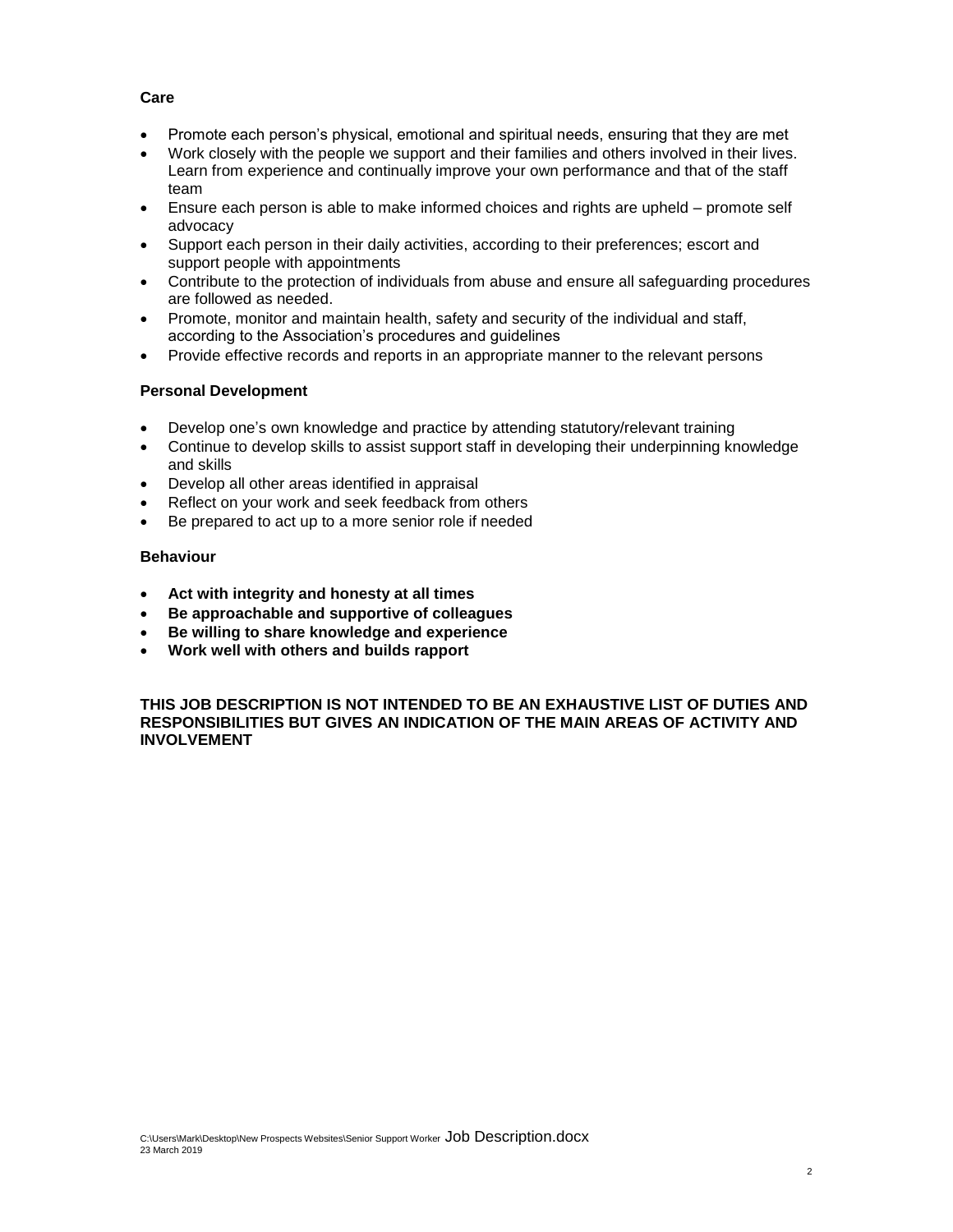#### **Care**

- Promote each person's physical, emotional and spiritual needs, ensuring that they are met
- Work closely with the people we support and their families and others involved in their lives. Learn from experience and continually improve your own performance and that of the staff team
- Ensure each person is able to make informed choices and rights are upheld promote self advocacy
- Support each person in their daily activities, according to their preferences; escort and support people with appointments
- Contribute to the protection of individuals from abuse and ensure all safeguarding procedures are followed as needed.
- Promote, monitor and maintain health, safety and security of the individual and staff, according to the Association's procedures and guidelines
- Provide effective records and reports in an appropriate manner to the relevant persons

### **Personal Development**

- Develop one's own knowledge and practice by attending statutory/relevant training
- Continue to develop skills to assist support staff in developing their underpinning knowledge and skills
- Develop all other areas identified in appraisal
- Reflect on your work and seek feedback from others
- Be prepared to act up to a more senior role if needed

### **Behaviour**

- **Act with integrity and honesty at all times**
- **Be approachable and supportive of colleagues**
- **Be willing to share knowledge and experience**
- **Work well with others and builds rapport**

**THIS JOB DESCRIPTION IS NOT INTENDED TO BE AN EXHAUSTIVE LIST OF DUTIES AND RESPONSIBILITIES BUT GIVES AN INDICATION OF THE MAIN AREAS OF ACTIVITY AND INVOLVEMENT**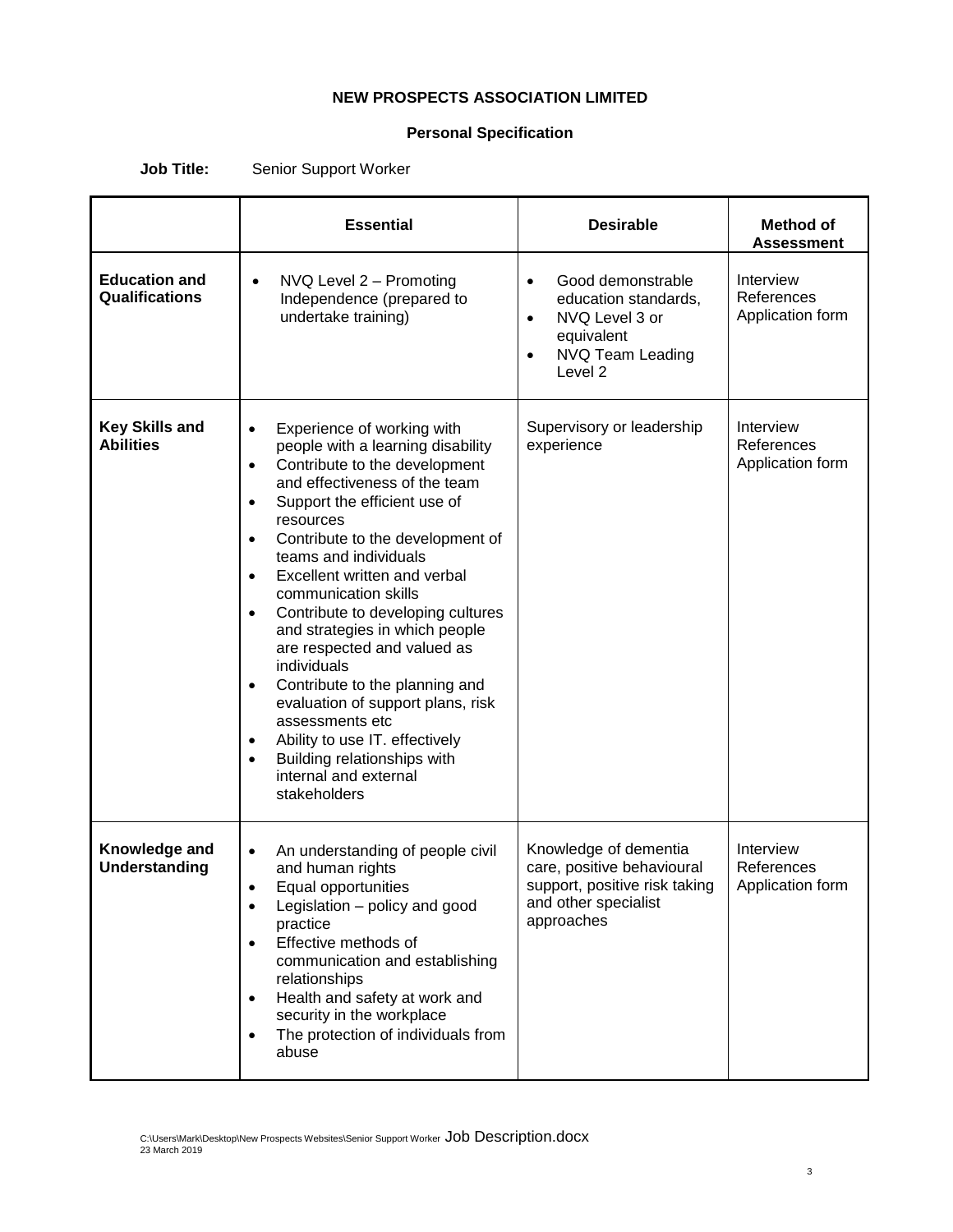## **NEW PROSPECTS ASSOCIATION LIMITED**

# **Personal Specification**

|                                           | <b>Essential</b>                                                                                                                                                                                                                                                                                                                                                                                                                                                                                                                                                                                                                                                                                                        | <b>Desirable</b>                                                                                                                                           | <b>Method of</b><br><b>Assessment</b>       |
|-------------------------------------------|-------------------------------------------------------------------------------------------------------------------------------------------------------------------------------------------------------------------------------------------------------------------------------------------------------------------------------------------------------------------------------------------------------------------------------------------------------------------------------------------------------------------------------------------------------------------------------------------------------------------------------------------------------------------------------------------------------------------------|------------------------------------------------------------------------------------------------------------------------------------------------------------|---------------------------------------------|
| <b>Education and</b><br>Qualifications    | NVQ Level 2 - Promoting<br>$\bullet$<br>Independence (prepared to<br>undertake training)                                                                                                                                                                                                                                                                                                                                                                                                                                                                                                                                                                                                                                | Good demonstrable<br>$\bullet$<br>education standards,<br>NVQ Level 3 or<br>$\bullet$<br>equivalent<br>NVQ Team Leading<br>$\bullet$<br>Level <sub>2</sub> | Interview<br>References<br>Application form |
| <b>Key Skills and</b><br><b>Abilities</b> | Experience of working with<br>$\bullet$<br>people with a learning disability<br>Contribute to the development<br>$\bullet$<br>and effectiveness of the team<br>Support the efficient use of<br>$\bullet$<br>resources<br>Contribute to the development of<br>$\bullet$<br>teams and individuals<br>Excellent written and verbal<br>communication skills<br>Contribute to developing cultures<br>$\bullet$<br>and strategies in which people<br>are respected and valued as<br>individuals<br>Contribute to the planning and<br>$\bullet$<br>evaluation of support plans, risk<br>assessments etc<br>Ability to use IT. effectively<br>Building relationships with<br>$\bullet$<br>internal and external<br>stakeholders | Supervisory or leadership<br>experience                                                                                                                    | Interview<br>References<br>Application form |
| Knowledge and<br><b>Understanding</b>     | An understanding of people civil<br>$\bullet$<br>and human rights<br>Equal opportunities<br>Legislation - policy and good<br>practice<br>Effective methods of<br>$\bullet$<br>communication and establishing<br>relationships<br>Health and safety at work and<br>$\bullet$<br>security in the workplace<br>The protection of individuals from<br>abuse                                                                                                                                                                                                                                                                                                                                                                 | Knowledge of dementia<br>care, positive behavioural<br>support, positive risk taking<br>and other specialist<br>approaches                                 | Interview<br>References<br>Application form |

**Job Title:** Senior Support Worker